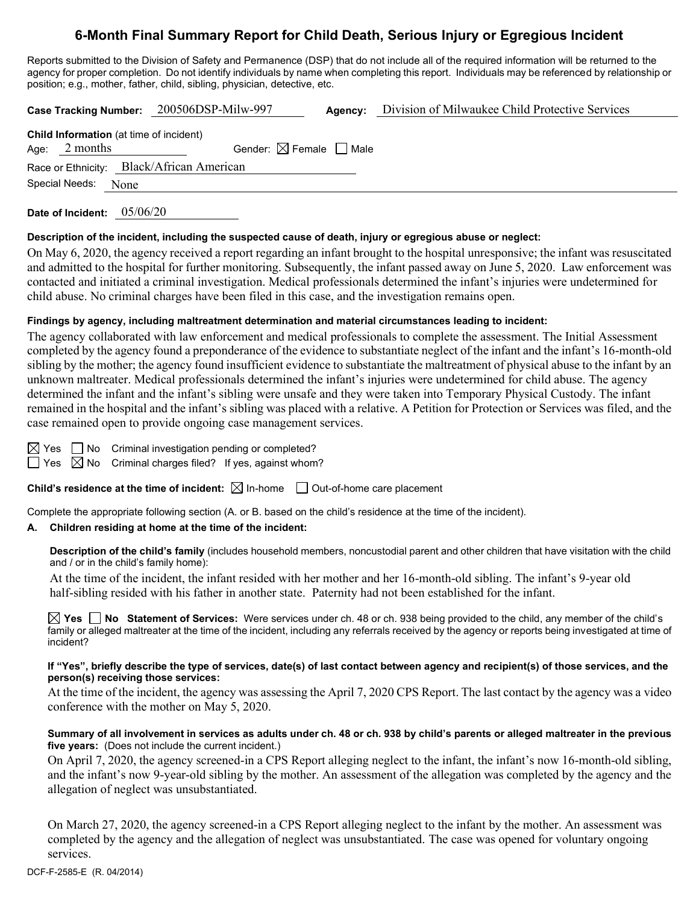# **6-Month Final Summary Report for Child Death, Serious Injury or Egregious Incident**

Reports submitted to the Division of Safety and Permanence (DSP) that do not include all of the required information will be returned to the agency for proper completion. Do not identify individuals by name when completing this report. Individuals may be referenced by relationship or position; e.g., mother, father, child, sibling, physician, detective, etc.

**Case Tracking Number:** 200506DSP-Milw-997 **Agency:** Division of Milwaukee Child Protective Services

| <b>Child Information</b> (at time of incident) |                                     |  |  |  |
|------------------------------------------------|-------------------------------------|--|--|--|
| Age: $2$ months                                | Gender: $\boxtimes$ Female     Male |  |  |  |
| Race or Ethnicity: Black/African American      |                                     |  |  |  |
| Special Needs: None                            |                                     |  |  |  |

**Date of Incident:** 05/06/20

## **Description of the incident, including the suspected cause of death, injury or egregious abuse or neglect:**

On May 6, 2020, the agency received a report regarding an infant brought to the hospital unresponsive; the infant was resuscitated and admitted to the hospital for further monitoring. Subsequently, the infant passed away on June 5, 2020. Law enforcement was contacted and initiated a criminal investigation. Medical professionals determined the infant's injuries were undetermined for child abuse. No criminal charges have been filed in this case, and the investigation remains open.

## **Findings by agency, including maltreatment determination and material circumstances leading to incident:**

The agency collaborated with law enforcement and medical professionals to complete the assessment. The Initial Assessment completed by the agency found a preponderance of the evidence to substantiate neglect of the infant and the infant's 16-month-old sibling by the mother; the agency found insufficient evidence to substantiate the maltreatment of physical abuse to the infant by an unknown maltreater. Medical professionals determined the infant's injuries were undetermined for child abuse. The agency determined the infant and the infant's sibling were unsafe and they were taken into Temporary Physical Custody. The infant remained in the hospital and the infant's sibling was placed with a relative. A Petition for Protection or Services was filed, and the case remained open to provide ongoing case management services.

 $\Box$  No Criminal investigation pending or completed?  $\Box$  Yes  $\boxtimes$  No Criminal charges filed? If yes, against whom?

**Child's residence at the time of incident:**  $\boxtimes$  In-home  $\Box$  Out-of-home care placement

Complete the appropriate following section (A. or B. based on the child's residence at the time of the incident).

# **A. Children residing at home at the time of the incident:**

**Description of the child's family** (includes household members, noncustodial parent and other children that have visitation with the child and / or in the child's family home):

At the time of the incident, the infant resided with her mother and her 16-month-old sibling. The infant's 9-year old half-sibling resided with his father in another state. Paternity had not been established for the infant.

**Yes No Statement of Services:** Were services under ch. 48 or ch. 938 being provided to the child, any member of the child's family or alleged maltreater at the time of the incident, including any referrals received by the agency or reports being investigated at time of incident?

#### **If "Yes", briefly describe the type of services, date(s) of last contact between agency and recipient(s) of those services, and the person(s) receiving those services:**

At the time of the incident, the agency was assessing the April 7, 2020 CPS Report. The last contact by the agency was a video conference with the mother on May 5, 2020.

#### **Summary of all involvement in services as adults under ch. 48 or ch. 938 by child's parents or alleged maltreater in the previous five years:** (Does not include the current incident.)

On April 7, 2020, the agency screened-in a CPS Report alleging neglect to the infant, the infant's now 16-month-old sibling, and the infant's now 9-year-old sibling by the mother. An assessment of the allegation was completed by the agency and the allegation of neglect was unsubstantiated.

On March 27, 2020, the agency screened-in a CPS Report alleging neglect to the infant by the mother. An assessment was completed by the agency and the allegation of neglect was unsubstantiated. The case was opened for voluntary ongoing services.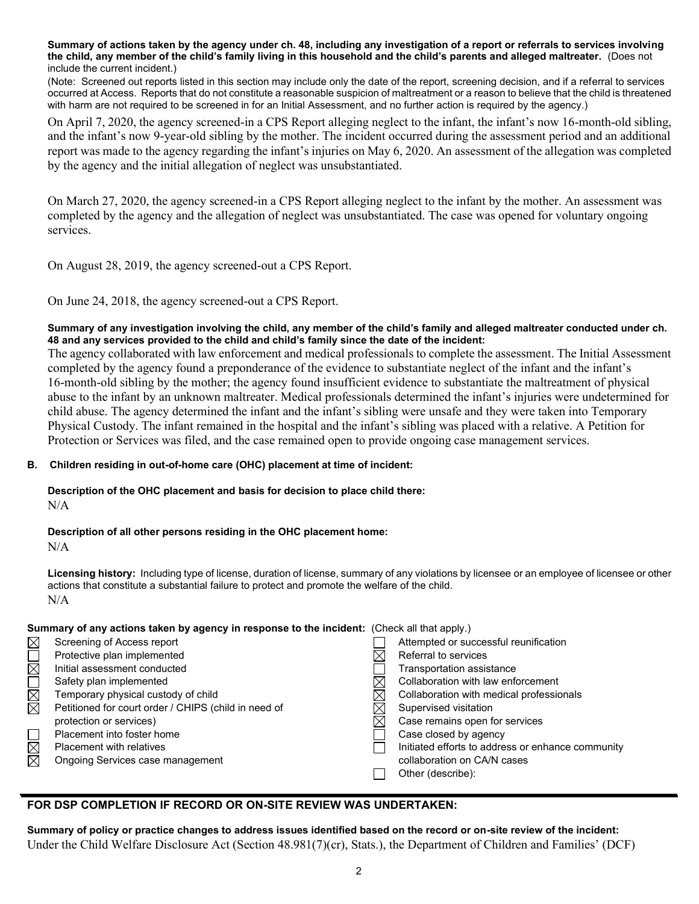**Summary of actions taken by the agency under ch. 48, including any investigation of a report or referrals to services involving the child, any member of the child's family living in this household and the child's parents and alleged maltreater.** (Does not include the current incident.)

(Note: Screened out reports listed in this section may include only the date of the report, screening decision, and if a referral to services occurred at Access. Reports that do not constitute a reasonable suspicion of maltreatment or a reason to believe that the child is threatened with harm are not required to be screened in for an Initial Assessment, and no further action is required by the agency.)

On April 7, 2020, the agency screened-in a CPS Report alleging neglect to the infant, the infant's now 16-month-old sibling, and the infant's now 9-year-old sibling by the mother. The incident occurred during the assessment period and an additional report was made to the agency regarding the infant's injuries on May 6, 2020. An assessment of the allegation was completed by the agency and the initial allegation of neglect was unsubstantiated.

On March 27, 2020, the agency screened-in a CPS Report alleging neglect to the infant by the mother. An assessment was completed by the agency and the allegation of neglect was unsubstantiated. The case was opened for voluntary ongoing services.

On August 28, 2019, the agency screened-out a CPS Report.

On June 24, 2018, the agency screened-out a CPS Report.

## **Summary of any investigation involving the child, any member of the child's family and alleged maltreater conducted under ch. 48 and any services provided to the child and child's family since the date of the incident:**

The agency collaborated with law enforcement and medical professionals to complete the assessment. The Initial Assessment completed by the agency found a preponderance of the evidence to substantiate neglect of the infant and the infant's 16-month-old sibling by the mother; the agency found insufficient evidence to substantiate the maltreatment of physical abuse to the infant by an unknown maltreater. Medical professionals determined the infant's injuries were undetermined for child abuse. The agency determined the infant and the infant's sibling were unsafe and they were taken into Temporary Physical Custody. The infant remained in the hospital and the infant's sibling was placed with a relative. A Petition for Protection or Services was filed, and the case remained open to provide ongoing case management services.

## **B. Children residing in out-of-home care (OHC) placement at time of incident:**

**Description of the OHC placement and basis for decision to place child there:**  $N/A$ 

**Description of all other persons residing in the OHC placement home:**

N/A

**Licensing history:** Including type of license, duration of license, summary of any violations by licensee or an employee of licensee or other actions that constitute a substantial failure to protect and promote the welfare of the child. N/A

| Summary of any actions taken by agency in response to the incident: (Check all that apply.) |                                                      |  |                                                   |  |  |
|---------------------------------------------------------------------------------------------|------------------------------------------------------|--|---------------------------------------------------|--|--|
| $\boxtimes$                                                                                 | Screening of Access report                           |  | Attempted or successful reunification             |  |  |
|                                                                                             | Protective plan implemented                          |  | Referral to services                              |  |  |
| $\Box$                                                                                      | Initial assessment conducted                         |  | Transportation assistance                         |  |  |
| N<br>M                                                                                      | Safety plan implemented                              |  | Collaboration with law enforcement                |  |  |
|                                                                                             | Temporary physical custody of child                  |  | Collaboration with medical professionals          |  |  |
|                                                                                             | Petitioned for court order / CHIPS (child in need of |  | Supervised visitation                             |  |  |
|                                                                                             | protection or services)                              |  | Case remains open for services                    |  |  |
|                                                                                             | Placement into foster home                           |  | Case closed by agency                             |  |  |
| $\boxtimes$                                                                                 | <b>Placement with relatives</b>                      |  | Initiated efforts to address or enhance community |  |  |
|                                                                                             | Ongoing Services case management                     |  | collaboration on CA/N cases                       |  |  |
|                                                                                             |                                                      |  | Other (describe):                                 |  |  |

# **FOR DSP COMPLETION IF RECORD OR ON-SITE REVIEW WAS UNDERTAKEN:**

**Summary of policy or practice changes to address issues identified based on the record or on-site review of the incident:** Under the Child Welfare Disclosure Act (Section 48.981(7)(cr), Stats.), the Department of Children and Families' (DCF)